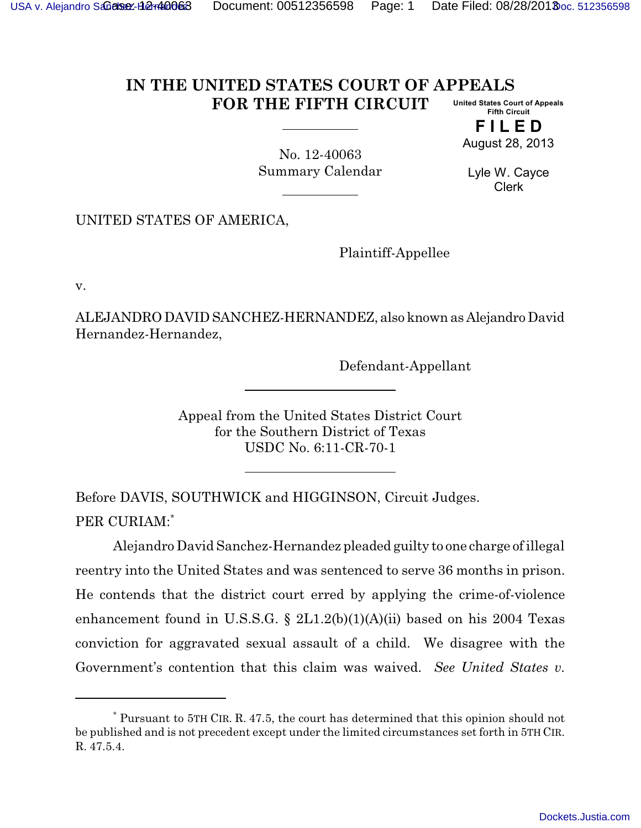## **IN THE UNITED STATES COURT OF APPEALS FOR THE FIFTH CIRCUIT United States Court of Appeals Fifth Circuit**

**F I L E D** August 28, 2013

No. 12-40063 Summary Calendar

Lyle W. Cayce Clerk

UNITED STATES OF AMERICA,

Plaintiff-Appellee

v.

ALEJANDRODAVID SANCHEZ-HERNANDEZ, also known as Alejandro David Hernandez-Hernandez,

Defendant-Appellant

Appeal from the United States District Court for the Southern District of Texas USDC No. 6:11-CR-70-1

Before DAVIS, SOUTHWICK and HIGGINSON, Circuit Judges. PER CURIAM:\*

Alejandro David Sanchez-Hernandez pleaded guilty to one charge of illegal reentry into the United States and was sentenced to serve 36 months in prison. He contends that the district court erred by applying the crime-of-violence enhancement found in U.S.S.G. § 2L1.2(b)(1)(A)(ii) based on his 2004 Texas conviction for aggravated sexual assault of a child. We disagree with the Government's contention that this claim was waived. *See United States v.*

<sup>\*</sup> Pursuant to 5TH CIR. R. 47.5, the court has determined that this opinion should not be published and is not precedent except under the limited circumstances set forth in 5TH CIR. R. 47.5.4.